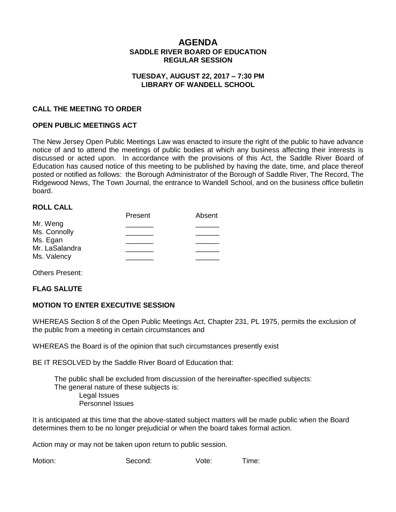# **AGENDA SADDLE RIVER BOARD OF EDUCATION REGULAR SESSION**

## **TUESDAY, AUGUST 22, 2017 – 7:30 PM LIBRARY OF WANDELL SCHOOL**

## **CALL THE MEETING TO ORDER**

## **OPEN PUBLIC MEETINGS ACT**

The New Jersey Open Public Meetings Law was enacted to insure the right of the public to have advance notice of and to attend the meetings of public bodies at which any business affecting their interests is discussed or acted upon. In accordance with the provisions of this Act, the Saddle River Board of Education has caused notice of this meeting to be published by having the date, time, and place thereof posted or notified as follows: the Borough Administrator of the Borough of Saddle River, The Record, The Ridgewood News, The Town Journal, the entrance to Wandell School, and on the business office bulletin board.

#### **ROLL CALL**

|                | Present | Absent |
|----------------|---------|--------|
| Mr. Weng       |         |        |
| Ms. Connolly   |         |        |
| Ms. Egan       |         |        |
| Mr. LaSalandra |         |        |
| Ms. Valency    |         |        |
|                |         |        |

Others Present:

#### **FLAG SALUTE**

#### **MOTION TO ENTER EXECUTIVE SESSION**

WHEREAS Section 8 of the Open Public Meetings Act, Chapter 231, PL 1975, permits the exclusion of the public from a meeting in certain circumstances and

WHEREAS the Board is of the opinion that such circumstances presently exist

BE IT RESOLVED by the Saddle River Board of Education that:

 The public shall be excluded from discussion of the hereinafter-specified subjects: The general nature of these subjects is: Legal Issues Personnel Issues

It is anticipated at this time that the above-stated subject matters will be made public when the Board determines them to be no longer prejudicial or when the board takes formal action.

Action may or may not be taken upon return to public session.

Motion: Second: Vote: Time: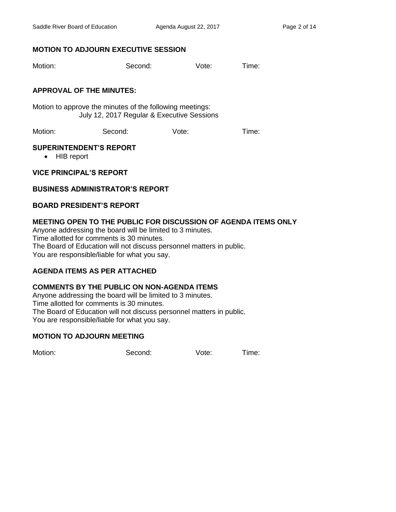# **MOTION TO ADJOURN EXECUTIVE SESSION**

Motion: Second: Vote: Time:

# **APPROVAL OF THE MINUTES:**

Motion to approve the minutes of the following meetings: July 12, 2017 Regular & Executive Sessions

Motion: Second: Vote: Time:

## **SUPERINTENDENT'S REPORT**

• HIB report

# **VICE PRINCIPAL'S REPORT**

# **BUSINESS ADMINISTRATOR'S REPORT**

# **BOARD PRESIDENT'S REPORT**

# **MEETING OPEN TO THE PUBLIC FOR DISCUSSION OF AGENDA ITEMS ONLY**

Anyone addressing the board will be limited to 3 minutes. Time allotted for comments is 30 minutes. The Board of Education will not discuss personnel matters in public. You are responsible/liable for what you say.

# **AGENDA ITEMS AS PER ATTACHED**

## **COMMENTS BY THE PUBLIC ON NON-AGENDA ITEMS**

Anyone addressing the board will be limited to 3 minutes. Time allotted for comments is 30 minutes. The Board of Education will not discuss personnel matters in public. You are responsible/liable for what you say.

## **MOTION TO ADJOURN MEETING**

Motion: Second: Vote: Time: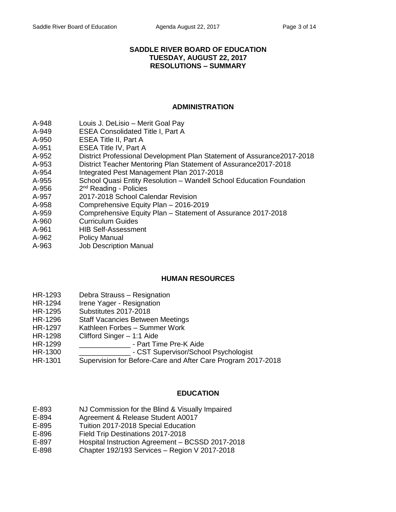## **SADDLE RIVER BOARD OF EDUCATION TUESDAY, AUGUST 22, 2017 RESOLUTIONS – SUMMARY**

## **ADMINISTRATION**

- A-948 Louis J. DeLisio Merit Goal Pay
- A-949 ESEA Consolidated Title I, Part A
- A-950 ESEA Title II, Part A
- A-951 ESEA Title IV, Part A
- A-952 District Professional Development Plan Statement of Assurance2017-2018
- A-953 District Teacher Mentoring Plan Statement of Assurance2017-2018
- A-954 Integrated Pest Management Plan 2017-2018
- A-955 School Quasi Entity Resolution Wandell School Education Foundation
- A-956 2<sup>nd</sup> Reading - Policies
- A-957 2017-2018 School Calendar Revision
- A-958 Comprehensive Equity Plan 2016-2019
- A-959 Comprehensive Equity Plan Statement of Assurance 2017-2018
- A-960 Curriculum Guides
- A-961 HIB Self-Assessment
- A-962 Policy Manual
- A-963 Job Description Manual

## **HUMAN RESOURCES**

- HR-1293 Debra Strauss Resignation
- HR-1294 Irene Yager Resignation
- HR-1295 Substitutes 2017-2018
- HR-1296 Staff Vacancies Between Meetings
- HR-1297 Kathleen Forbes Summer Work
- HR-1298 Clifford Singer 1:1 Aide
- HR-1299 \_\_\_\_\_\_\_\_\_\_\_\_\_ Part Time Pre-K Aide
- HR-1300 \_\_\_\_\_\_\_\_\_\_\_\_\_ CST Supervisor/School Psychologist
- HR-1301 Supervision for Before-Care and After Care Program 2017-2018

## **EDUCATION**

- E-893 NJ Commission for the Blind & Visually Impaired
- E-894 Agreement & Release Student A0017
- E-895 Tuition 2017-2018 Special Education
- E-896 Field Trip Destinations 2017-2018
- E-897 Hospital Instruction Agreement BCSSD 2017-2018
- E-898 Chapter 192/193 Services Region V 2017-2018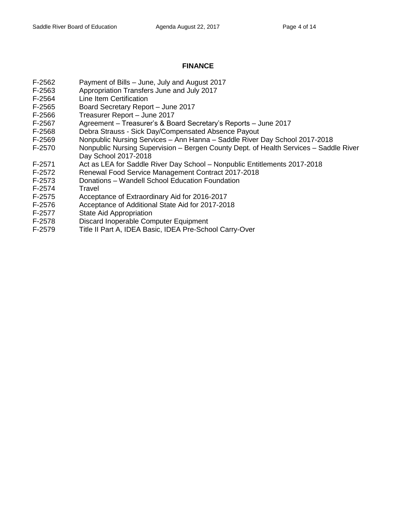# **FINANCE**

- F-2562 Payment of Bills June, July and August 2017
- F-2563 Appropriation Transfers June and July 2017
- F-2564 Line Item Certification
- F-2565 Board Secretary Report June 2017
- F-2566 Treasurer Report June 2017
- F-2567 Agreement Treasurer's & Board Secretary's Reports June 2017
- F-2568 Debra Strauss Sick Day/Compensated Absence Payout
- F-2569 Nonpublic Nursing Services Ann Hanna Saddle River Day School 2017-2018
- F-2570 Nonpublic Nursing Supervision Bergen County Dept. of Health Services Saddle River Day School 2017-2018
- F-2571 Act as LEA for Saddle River Day School Nonpublic Entitlements 2017-2018
- F-2572 Renewal Food Service Management Contract 2017-2018
- F-2573 Donations Wandell School Education Foundation
- F-2574 Travel
- F-2575 Acceptance of Extraordinary Aid for 2016-2017
- F-2576 Acceptance of Additional State Aid for 2017-2018
- F-2577 State Aid Appropriation
- F-2578 Discard Inoperable Computer Equipment<br>F-2579 Title II Part A, IDEA Basic, IDEA Pre-Scho
- Title II Part A, IDEA Basic, IDEA Pre-School Carry-Over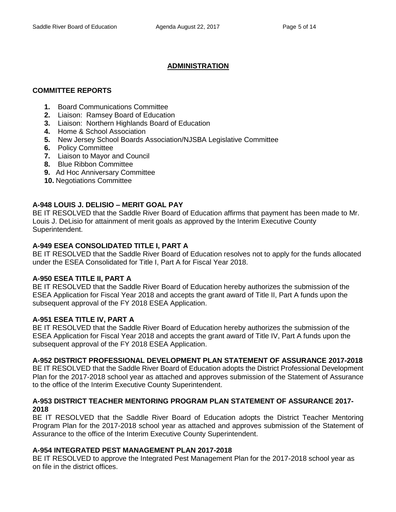# **ADMINISTRATION**

# **COMMITTEE REPORTS**

- **1.** Board Communications Committee
- **2.** Liaison: Ramsey Board of Education
- **3.** Liaison: Northern Highlands Board of Education
- **4.** Home & School Association
- **5.** New Jersey School Boards Association/NJSBA Legislative Committee
- **6.** Policy Committee
- **7.** Liaison to Mayor and Council
- **8.** Blue Ribbon Committee
- **9.** Ad Hoc Anniversary Committee
- **10.** Negotiations Committee

# **A-948 LOUIS J. DELISIO – MERIT GOAL PAY**

BE IT RESOLVED that the Saddle River Board of Education affirms that payment has been made to Mr. Louis J. DeLisio for attainment of merit goals as approved by the Interim Executive County Superintendent.

# **A-949 ESEA CONSOLIDATED TITLE I, PART A**

BE IT RESOLVED that the Saddle River Board of Education resolves not to apply for the funds allocated under the ESEA Consolidated for Title I, Part A for Fiscal Year 2018.

## **A-950 ESEA TITLE II, PART A**

BE IT RESOLVED that the Saddle River Board of Education hereby authorizes the submission of the ESEA Application for Fiscal Year 2018 and accepts the grant award of Title II, Part A funds upon the subsequent approval of the FY 2018 ESEA Application.

## **A-951 ESEA TITLE IV, PART A**

BE IT RESOLVED that the Saddle River Board of Education hereby authorizes the submission of the ESEA Application for Fiscal Year 2018 and accepts the grant award of Title IV, Part A funds upon the subsequent approval of the FY 2018 ESEA Application.

# **A-952 DISTRICT PROFESSIONAL DEVELOPMENT PLAN STATEMENT OF ASSURANCE 2017-2018**

BE IT RESOLVED that the Saddle River Board of Education adopts the District Professional Development Plan for the 2017-2018 school year as attached and approves submission of the Statement of Assurance to the office of the Interim Executive County Superintendent.

## **A-953 DISTRICT TEACHER MENTORING PROGRAM PLAN STATEMENT OF ASSURANCE 2017- 2018**

BE IT RESOLVED that the Saddle River Board of Education adopts the District Teacher Mentoring Program Plan for the 2017-2018 school year as attached and approves submission of the Statement of Assurance to the office of the Interim Executive County Superintendent.

# **A-954 INTEGRATED PEST MANAGEMENT PLAN 2017-2018**

BE IT RESOLVED to approve the Integrated Pest Management Plan for the 2017-2018 school year as on file in the district offices.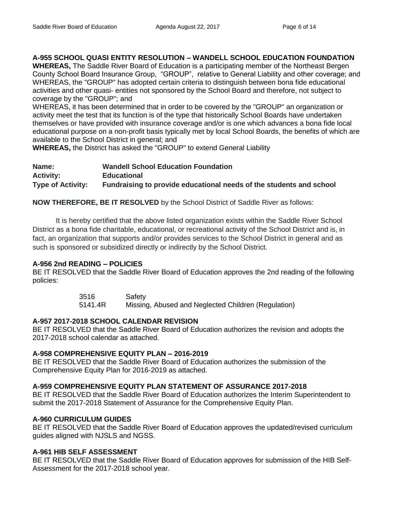# **A-955 SCHOOL QUASI ENTITY RESOLUTION – WANDELL SCHOOL EDUCATION FOUNDATION**

**WHEREAS,** The Saddle River Board of Education is a participating member of the Northeast Bergen County School Board Insurance Group, "GROUP", relative to General Liability and other coverage; and WHEREAS, the "GROUP" has adopted certain criteria to distinguish between bona fide educational activities and other quasi- entities not sponsored by the School Board and therefore, not subject to coverage by the "GROUP"; and

WHEREAS, it has been determined that in order to be covered by the "GROUP" an organization or activity meet the test that its function is of the type that historically School Boards have undertaken themselves or have provided with insurance coverage and/or is one which advances a bona fide local educational purpose on a non-profit basis typically met by local School Boards, the benefits of which are available to the School District in general; and

**WHEREAS,** the District has asked the "GROUP" to extend General Liability

| Name:                    | <b>Wandell School Education Foundation</b>                          |
|--------------------------|---------------------------------------------------------------------|
| <b>Activity:</b>         | <b>Educational</b>                                                  |
| <b>Type of Activity:</b> | Fundraising to provide educational needs of the students and school |

**NOW THEREFORE, BE IT RESOLVED** by the School District of Saddle River as follows:

It is hereby certified that the above listed organization exists within the Saddle River School District as a bona fide charitable, educational, or recreational activity of the School District and is, in fact, an organization that supports and/or provides services to the School District in general and as such is sponsored or subsidized directly or indirectly by the School District.

## **A-956 2nd READING – POLICIES**

BE IT RESOLVED that the Saddle River Board of Education approves the 2nd reading of the following policies:

> 3516 Safety 5141.4R Missing, Abused and Neglected Children (Regulation)

# **A-957 2017-2018 SCHOOL CALENDAR REVISION**

BE IT RESOLVED that the Saddle River Board of Education authorizes the revision and adopts the 2017-2018 school calendar as attached.

## **A-958 COMPREHENSIVE EQUITY PLAN – 2016-2019**

BE IT RESOLVED that the Saddle River Board of Education authorizes the submission of the Comprehensive Equity Plan for 2016-2019 as attached.

## **A-959 COMPREHENSIVE EQUITY PLAN STATEMENT OF ASSURANCE 2017-2018**

BE IT RESOLVED that the Saddle River Board of Education authorizes the Interim Superintendent to submit the 2017-2018 Statement of Assurance for the Comprehensive Equity Plan.

## **A-960 CURRICULUM GUIDES**

BE IT RESOLVED that the Saddle River Board of Education approves the updated/revised curriculum guides aligned with NJSLS and NGSS.

# **A-961 HIB SELF ASSESSMENT**

BE IT RESOLVED that the Saddle River Board of Education approves for submission of the HIB Self-Assessment for the 2017-2018 school year.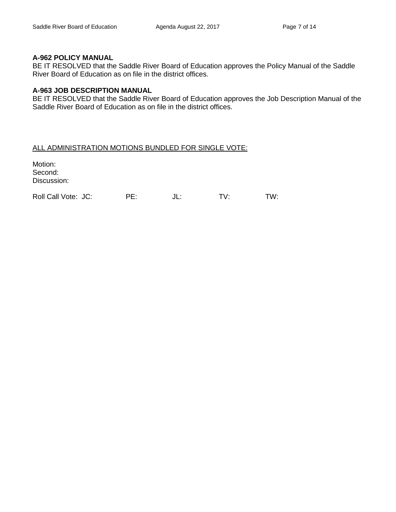## **A-962 POLICY MANUAL**

BE IT RESOLVED that the Saddle River Board of Education approves the Policy Manual of the Saddle River Board of Education as on file in the district offices.

## **A-963 JOB DESCRIPTION MANUAL**

BE IT RESOLVED that the Saddle River Board of Education approves the Job Description Manual of the Saddle River Board of Education as on file in the district offices.

## ALL ADMINISTRATION MOTIONS BUNDLED FOR SINGLE VOTE:

Motion: Second: Discussion: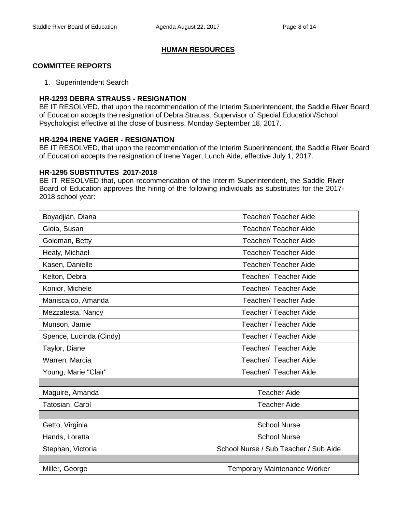# **HUMAN RESOURCES**

# **COMMITTEE REPORTS**

1. Superintendent Search

## **HR-1293 DEBRA STRAUSS - RESIGNATION**

BE IT RESOLVED, that upon the recommendation of the Interim Superintendent, the Saddle River Board of Education accepts the resignation of Debra Strauss, Supervisor of Special Education/School Psychologist effective at the close of business, Monday September 18, 2017.

## **HR-1294 IRENE YAGER - RESIGNATION**

BE IT RESOLVED, that upon the recommendation of the Interim Superintendent, the Saddle River Board of Education accepts the resignation of Irene Yager, Lunch Aide, effective July 1, 2017.

#### **HR-1295 SUBSTITUTES 2017-2018**

BE IT RESOLVED that, upon recommendation of the Interim Superintendent, the Saddle River Board of Education approves the hiring of the following individuals as substitutes for the 2017- 2018 school year:

| Boyadjian, Diana        | <b>Teacher/ Teacher Aide</b>          |  |
|-------------------------|---------------------------------------|--|
| Gioia, Susan            | <b>Teacher/ Teacher Aide</b>          |  |
| Goldman, Betty          | <b>Teacher/ Teacher Aide</b>          |  |
| Healy, Michael          | <b>Teacher/ Teacher Aide</b>          |  |
| Kasen, Danielle         | <b>Teacher/ Teacher Aide</b>          |  |
| Kelton, Debra           | Teacher/ Teacher Aide                 |  |
| Konior, Michele         | Teacher/ Teacher Aide                 |  |
| Maniscalco, Amanda      | <b>Teacher/ Teacher Aide</b>          |  |
| Mezzatesta, Nancy       | Teacher / Teacher Aide                |  |
| Munson, Jamie           | Teacher / Teacher Aide                |  |
| Spence, Lucinda (Cindy) | Teacher / Teacher Aide                |  |
| Taylor, Diane           | Teacher/ Teacher Aide                 |  |
| Warren, Marcia          | Teacher/ Teacher Aide                 |  |
| Young, Marie "Clair"    | Teacher/ Teacher Aide                 |  |
|                         |                                       |  |
| Maguire, Amanda         | <b>Teacher Aide</b>                   |  |
| Tatosian, Carol         | <b>Teacher Aide</b>                   |  |
|                         |                                       |  |
| Getto, Virginia         | <b>School Nurse</b>                   |  |
| Hands, Loretta          | <b>School Nurse</b>                   |  |
| Stephan, Victoria       | School Nurse / Sub Teacher / Sub Aide |  |
|                         |                                       |  |
| Miller, George          | <b>Temporary Maintenance Worker</b>   |  |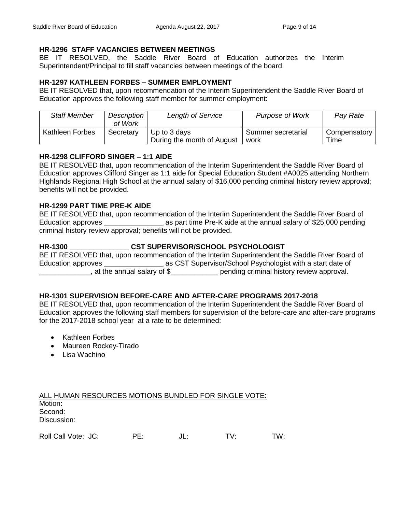# **HR-1296 STAFF VACANCIES BETWEEN MEETINGS**

BE IT RESOLVED, the Saddle River Board of Education authorizes the Interim Superintendent/Principal to fill staff vacancies between meetings of the board.

# **HR-1297 KATHLEEN FORBES – SUMMER EMPLOYMENT**

BE IT RESOLVED that, upon recommendation of the Interim Superintendent the Saddle River Board of Education approves the following staff member for summer employment:

| <b>Staff Member</b>    | Description<br>of Work | <b>Length of Service</b>                   | <b>Purpose of Work</b>     | Pay Rate             |
|------------------------|------------------------|--------------------------------------------|----------------------------|----------------------|
| <b>Kathleen Forbes</b> | Secretary              | Up to 3 days<br>During the month of August | Summer secretarial<br>work | Compensatory<br>Time |

# **HR-1298 CLIFFORD SINGER – 1:1 AIDE**

BE IT RESOLVED that, upon recommendation of the Interim Superintendent the Saddle River Board of Education approves Clifford Singer as 1:1 aide for Special Education Student #A0025 attending Northern Highlands Regional High School at the annual salary of \$16,000 pending criminal history review approval; benefits will not be provided.

# **HR-1299 PART TIME PRE-K AIDE**

BE IT RESOLVED that, upon recommendation of the Interim Superintendent the Saddle River Board of Education approves \_\_\_\_\_\_\_\_\_\_\_\_\_\_\_\_\_\_\_\_\_\_\_ as part time Pre-K aide at the annual salary of \$25,000 pending criminal history review approval; benefits will not be provided.

# **HR-1300 \_\_\_\_\_\_\_\_\_\_\_\_\_\_\_ CST SUPERVISOR/SCHOOL PSYCHOLOGIST**

BE IT RESOLVED that, upon recommendation of the Interim Superintendent the Saddle River Board of Education approves \_\_\_\_\_\_\_\_\_\_\_\_\_\_\_\_\_\_\_\_\_ as CST Supervisor/School Psychologist with a start date of \_\_\_\_\_\_\_\_\_\_\_\_\_, at the annual salary of \$\_\_\_\_\_\_\_\_\_\_\_\_ pending criminal history review approval.

# **HR-1301 SUPERVISION BEFORE-CARE AND AFTER-CARE PROGRAMS 2017-2018**

BE IT RESOLVED that, upon recommendation of the Interim Superintendent the Saddle River Board of Education approves the following staff members for supervision of the before-care and after-care programs for the 2017-2018 school year at a rate to be determined:

- Kathleen Forbes
- Maureen Rockey-Tirado
- Lisa Wachino

| ALL HUMAN RESOURCES MOTIONS BUNDLED FOR SINGLE VOTE: |  |
|------------------------------------------------------|--|
| Motion:                                              |  |
| Second:                                              |  |
| Discussion:                                          |  |
|                                                      |  |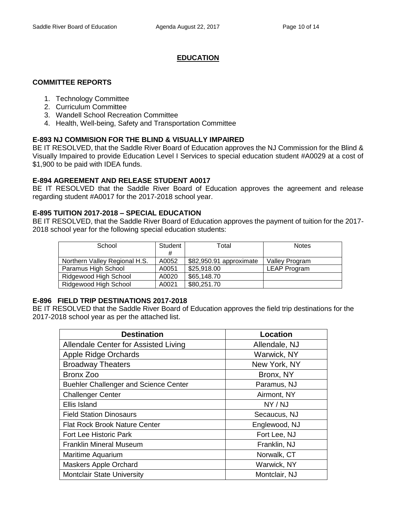# **EDUCATION**

# **COMMITTEE REPORTS**

- 1. Technology Committee
- 2. Curriculum Committee
- 3. Wandell School Recreation Committee
- 4. Health, Well-being, Safety and Transportation Committee

# **E-893 NJ COMMISION FOR THE BLIND & VISUALLY IMPAIRED**

BE IT RESOLVED, that the Saddle River Board of Education approves the NJ Commission for the Blind & Visually Impaired to provide Education Level I Services to special education student #A0029 at a cost of \$1,900 to be paid with IDEA funds.

# **E-894 AGREEMENT AND RELEASE STUDENT A0017**

BE IT RESOLVED that the Saddle River Board of Education approves the agreement and release regarding student #A0017 for the 2017-2018 school year.

# **E-895 TUITION 2017-2018 – SPECIAL EDUCATION**

BE IT RESOLVED, that the Saddle River Board of Education approves the payment of tuition for the 2017- 2018 school year for the following special education students:

| School                        | Student | Total                   | <b>Notes</b>        |
|-------------------------------|---------|-------------------------|---------------------|
|                               | #       |                         |                     |
| Northern Valley Regional H.S. | A0052   | \$82,950.91 approximate | Valley Program      |
| Paramus High School           | A0051   | \$25,918.00             | <b>LEAP Program</b> |
| Ridgewood High School         | A0020   | \$65,148.70             |                     |
| Ridgewood High School         | A0021   | \$80,251.70             |                     |

## **E-896 FIELD TRIP DESTINATIONS 2017-2018**

BE IT RESOLVED that the Saddle River Board of Education approves the field trip destinations for the 2017-2018 school year as per the attached list.

| <b>Destination</b>                           | <b>Location</b> |
|----------------------------------------------|-----------------|
| Allendale Center for Assisted Living         | Allendale, NJ   |
| Apple Ridge Orchards                         | Warwick, NY     |
| <b>Broadway Theaters</b>                     | New York, NY    |
| Bronx Zoo                                    | Bronx, NY       |
| <b>Buehler Challenger and Science Center</b> | Paramus, NJ     |
| <b>Challenger Center</b>                     | Airmont, NY     |
| Ellis Island                                 | NY / NJ         |
| <b>Field Station Dinosaurs</b>               | Secaucus, NJ    |
| <b>Flat Rock Brook Nature Center</b>         | Englewood, NJ   |
| <b>Fort Lee Historic Park</b>                | Fort Lee, NJ    |
| <b>Franklin Mineral Museum</b>               | Franklin, NJ    |
| Maritime Aquarium                            | Norwalk, CT     |
| <b>Maskers Apple Orchard</b>                 | Warwick, NY     |
| <b>Montclair State University</b>            | Montclair, NJ   |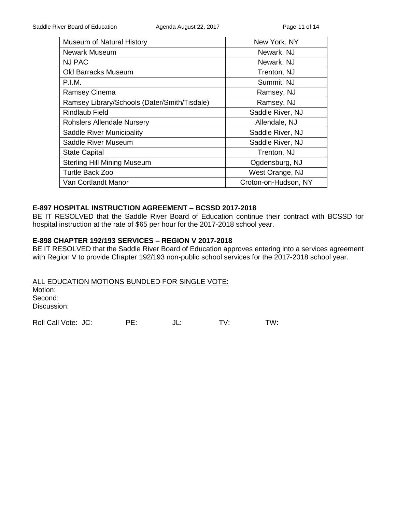| <b>Museum of Natural History</b>             | New York, NY         |
|----------------------------------------------|----------------------|
| Newark Museum                                | Newark, NJ           |
| <b>NJ PAC</b>                                | Newark, NJ           |
| Old Barracks Museum                          | Trenton, NJ          |
| P.I.M.                                       | Summit, NJ           |
| Ramsey Cinema                                | Ramsey, NJ           |
| Ramsey Library/Schools (Dater/Smith/Tisdale) | Ramsey, NJ           |
| <b>Rindlaub Field</b>                        | Saddle River, NJ     |
| <b>Rohslers Allendale Nursery</b>            | Allendale, NJ        |
| Saddle River Municipality                    | Saddle River, NJ     |
| Saddle River Museum                          | Saddle River, NJ     |
| <b>State Capital</b>                         | Trenton, NJ          |
| <b>Sterling Hill Mining Museum</b>           | Ogdensburg, NJ       |
| <b>Turtle Back Zoo</b>                       | West Orange, NJ      |
| Van Cortlandt Manor                          | Croton-on-Hudson, NY |

### **E-897 HOSPITAL INSTRUCTION AGREEMENT – BCSSD 2017-2018**

BE IT RESOLVED that the Saddle River Board of Education continue their contract with BCSSD for hospital instruction at the rate of \$65 per hour for the 2017-2018 school year.

#### **E-898 CHAPTER 192/193 SERVICES – REGION V 2017-2018**

BE IT RESOLVED that the Saddle River Board of Education approves entering into a services agreement with Region V to provide Chapter 192/193 non-public school services for the 2017-2018 school year.

ALL EDUCATION MOTIONS BUNDLED FOR SINGLE VOTE: Motion: Second: Discussion: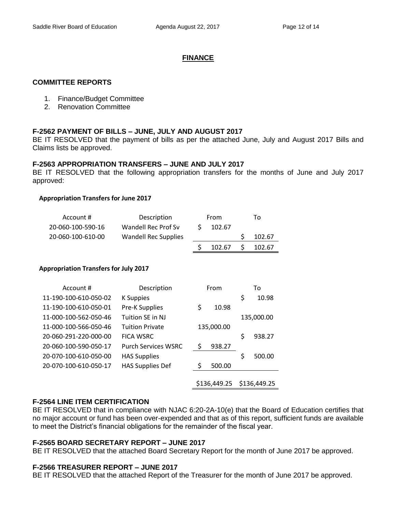# **FINANCE**

## **COMMITTEE REPORTS**

- 1. Finance/Budget Committee
- 2. Renovation Committee

## **F-2562 PAYMENT OF BILLS – JUNE, JULY AND AUGUST 2017**

BE IT RESOLVED that the payment of bills as per the attached June, July and August 2017 Bills and Claims lists be approved.

### **F-2563 APPROPRIATION TRANSFERS – JUNE AND JULY 2017**

BE IT RESOLVED that the following appropriation transfers for the months of June and July 2017 approved:

#### **Appropriation Transfers for June 2017**

| Account #         | Description                 | From             | To     |
|-------------------|-----------------------------|------------------|--------|
| 20-060-100-590-16 | Wandell Rec Prof Sv         | 102.67           |        |
| 20-060-100-610-00 | <b>Wandell Rec Supplies</b> |                  | 102.67 |
|                   |                             | 102.67 \$ 102.67 |        |

#### **Appropriation Transfers for July 2017**

| Account #             | Description                |    | From         |    | То           |
|-----------------------|----------------------------|----|--------------|----|--------------|
| 11-190-100-610-050-02 | <b>K</b> Suppies           |    |              | \$ | 10.98        |
| 11-190-100-610-050-01 | <b>Pre-K Supplies</b>      | \$ | 10.98        |    |              |
| 11-000-100-562-050-46 | Tuition SE in NJ           |    |              |    | 135,000.00   |
| 11-000-100-566-050-46 | <b>Tuition Private</b>     |    | 135,000.00   |    |              |
| 20-060-291-220-000-00 | <b>FICA WSRC</b>           |    |              | Ś  | 938.27       |
| 20-060-100-590-050-17 | <b>Purch Services WSRC</b> | \$ | 938.27       |    |              |
| 20-070-100-610-050-00 | <b>HAS Supplies</b>        |    |              | Ś  | 500.00       |
| 20-070-100-610-050-17 | <b>HAS Supplies Def</b>    | Ŝ. | 500.00       |    |              |
|                       |                            |    |              |    |              |
|                       |                            |    | \$136,449.25 |    | \$136,449.25 |

## **F-2564 LINE ITEM CERTIFICATION**

BE IT RESOLVED that in compliance with NJAC 6:20-2A-10(e) that the Board of Education certifies that no major account or fund has been over-expended and that as of this report, sufficient funds are available to meet the District's financial obligations for the remainder of the fiscal year.

#### **F-2565 BOARD SECRETARY REPORT – JUNE 2017**

BE IT RESOLVED that the attached Board Secretary Report for the month of June 2017 be approved.

#### **F-2566 TREASURER REPORT – JUNE 2017**

BE IT RESOLVED that the attached Report of the Treasurer for the month of June 2017 be approved.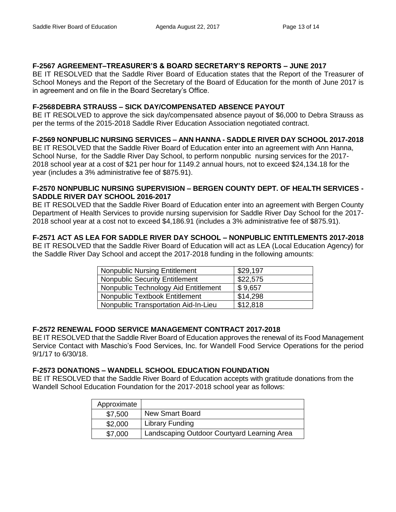# **F-2567 AGREEMENT–TREASURER'S & BOARD SECRETARY'S REPORTS – JUNE 2017**

BE IT RESOLVED that the Saddle River Board of Education states that the Report of the Treasurer of School Moneys and the Report of the Secretary of the Board of Education for the month of June 2017 is in agreement and on file in the Board Secretary's Office.

# **F-2568DEBRA STRAUSS – SICK DAY/COMPENSATED ABSENCE PAYOUT**

BE IT RESOLVED to approve the sick day/compensated absence payout of \$6,000 to Debra Strauss as per the terms of the 2015-2018 Saddle River Education Association negotiated contract.

# **F-2569 NONPUBLIC NURSING SERVICES – ANN HANNA - SADDLE RIVER DAY SCHOOL 2017-2018**

BE IT RESOLVED that the Saddle River Board of Education enter into an agreement with Ann Hanna, School Nurse, for the Saddle River Day School, to perform nonpublic nursing services for the 2017- 2018 school year at a cost of \$21 per hour for 1149.2 annual hours, not to exceed \$24,134.18 for the year (includes a 3% administrative fee of \$875.91).

## **F-2570 NONPUBLIC NURSING SUPERVISION – BERGEN COUNTY DEPT. OF HEALTH SERVICES - SADDLE RIVER DAY SCHOOL 2016-2017**

BE IT RESOLVED that the Saddle River Board of Education enter into an agreement with Bergen County Department of Health Services to provide nursing supervision for Saddle River Day School for the 2017- 2018 school year at a cost not to exceed \$4,186.91 (includes a 3% administrative fee of \$875.91).

# **F-2571 ACT AS LEA FOR SADDLE RIVER DAY SCHOOL – NONPUBLIC ENTITLEMENTS 2017-2018**

BE IT RESOLVED that the Saddle River Board of Education will act as LEA (Local Education Agency) for the Saddle River Day School and accept the 2017-2018 funding in the following amounts:

| <b>Nonpublic Nursing Entitlement</b>  | \$29,197 |
|---------------------------------------|----------|
| <b>Nonpublic Security Entitlement</b> | \$22,575 |
| Nonpublic Technology Aid Entitlement  | \$9,657  |
| Nonpublic Textbook Entitlement        | \$14,298 |
| Nonpublic Transportation Aid-In-Lieu  | \$12,818 |

# **F-2572 RENEWAL FOOD SERVICE MANAGEMENT CONTRACT 2017-2018**

BE IT RESOLVED that the Saddle River Board of Education approves the renewal of its Food Management Service Contact with Maschio's Food Services, Inc. for Wandell Food Service Operations for the period 9/1/17 to 6/30/18.

## **F-2573 DONATIONS – WANDELL SCHOOL EDUCATION FOUNDATION**

BE IT RESOLVED that the Saddle River Board of Education accepts with gratitude donations from the Wandell School Education Foundation for the 2017-2018 school year as follows:

| Approximate |                                             |
|-------------|---------------------------------------------|
| \$7,500     | <b>New Smart Board</b>                      |
| \$2,000     | <b>Library Funding</b>                      |
| \$7,000     | Landscaping Outdoor Courtyard Learning Area |